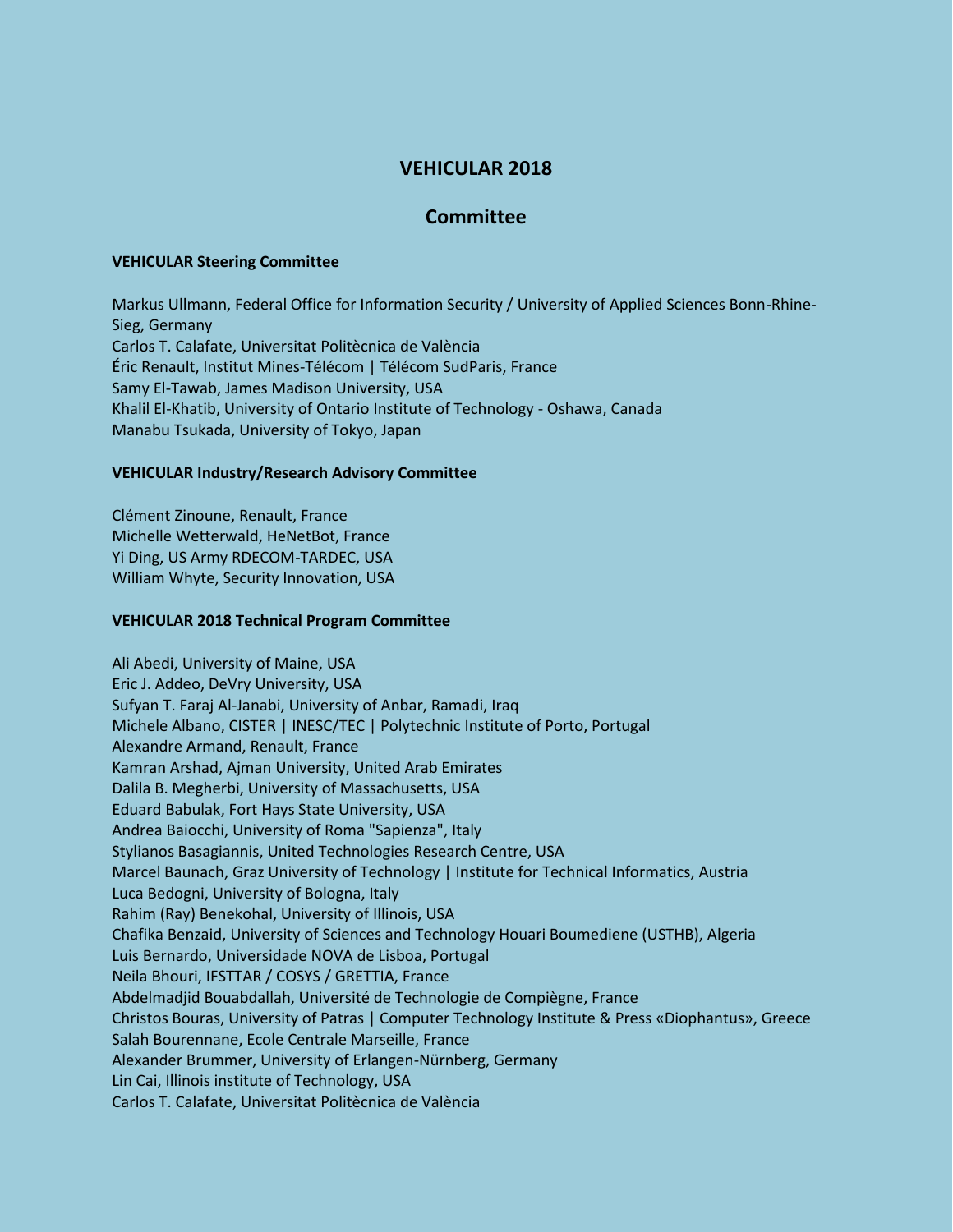# **VEHICULAR 2018**

# **Committee**

#### **VEHICULAR Steering Committee**

Markus Ullmann, Federal Office for Information Security / University of Applied Sciences Bonn-Rhine-Sieg, Germany Carlos T. Calafate, Universitat Politècnica de València Éric Renault, Institut Mines-Télécom | Télécom SudParis, France Samy El-Tawab, James Madison University, USA Khalil El-Khatib, University of Ontario Institute of Technology - Oshawa, Canada Manabu Tsukada, University of Tokyo, Japan

## **VEHICULAR Industry/Research Advisory Committee**

Clément Zinoune, Renault, France Michelle Wetterwald, HeNetBot, France Yi Ding, US Army RDECOM-TARDEC, USA William Whyte, Security Innovation, USA

### **VEHICULAR 2018 Technical Program Committee**

Ali Abedi, University of Maine, USA Eric J. Addeo, DeVry University, USA Sufyan T. Faraj Al-Janabi, University of Anbar, Ramadi, Iraq Michele Albano, CISTER | INESC/TEC | Polytechnic Institute of Porto, Portugal Alexandre Armand, Renault, France Kamran Arshad, Ajman University, United Arab Emirates Dalila B. Megherbi, University of Massachusetts, USA Eduard Babulak, Fort Hays State University, USA Andrea Baiocchi, University of Roma "Sapienza", Italy Stylianos Basagiannis, United Technologies Research Centre, USA Marcel Baunach, Graz University of Technology | Institute for Technical Informatics, Austria Luca Bedogni, University of Bologna, Italy Rahim (Ray) Benekohal, University of Illinois, USA Chafika Benzaid, University of Sciences and Technology Houari Boumediene (USTHB), Algeria Luis Bernardo, Universidade NOVA de Lisboa, Portugal Neila Bhouri, IFSTTAR / COSYS / GRETTIA, France Abdelmadjid Bouabdallah, Université de Technologie de Compiègne, France Christos Bouras, University of Patras | Computer Technology Institute & Press «Diophantus», Greece Salah Bourennane, Ecole Centrale Marseille, France Alexander Brummer, University of Erlangen-Nürnberg, Germany Lin Cai, Illinois institute of Technology, USA Carlos T. Calafate, Universitat Politècnica de València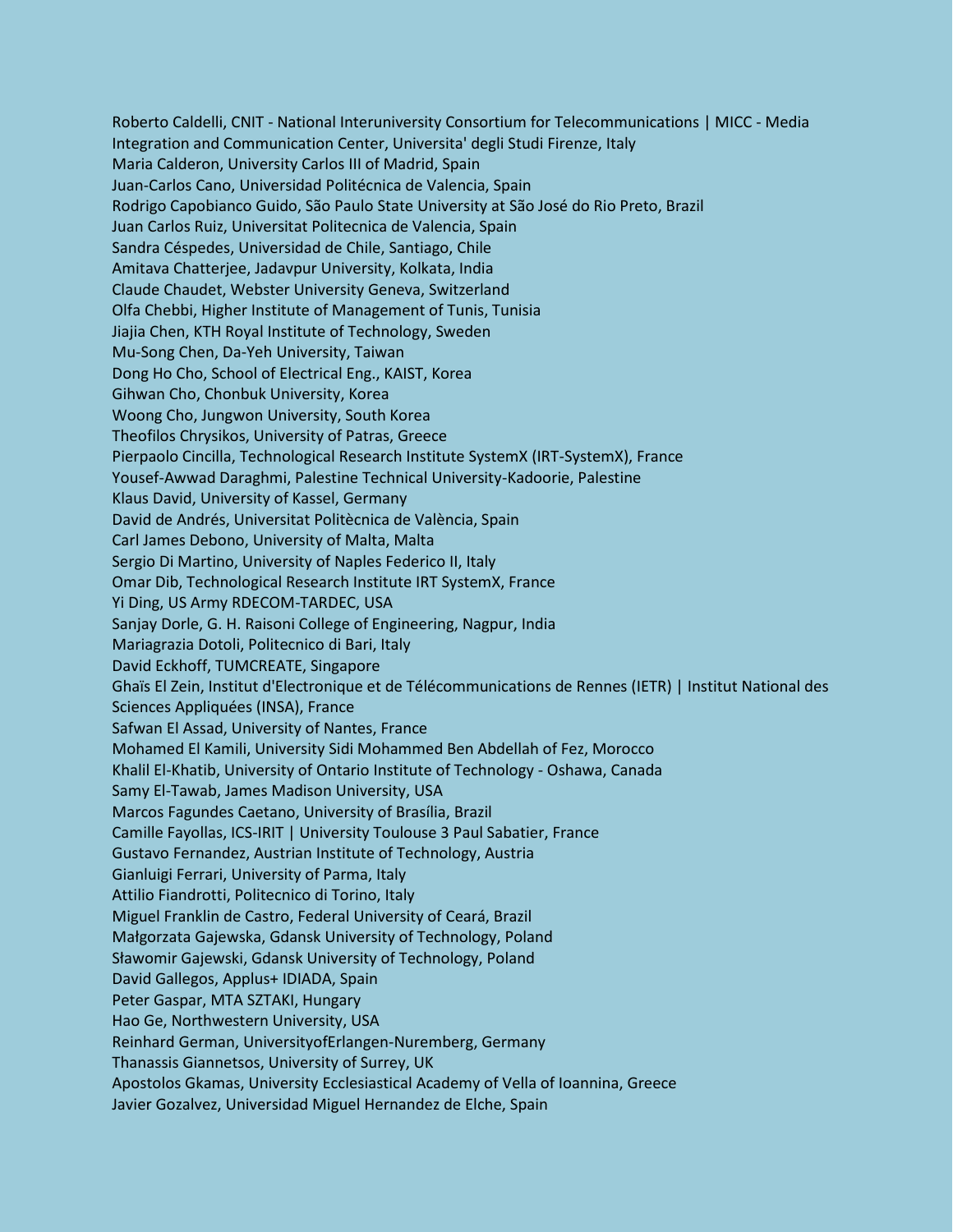Roberto Caldelli, CNIT - National Interuniversity Consortium for Telecommunications | MICC - Media Integration and Communication Center, Universita' degli Studi Firenze, Italy Maria Calderon, University Carlos III of Madrid, Spain Juan-Carlos Cano, Universidad Politécnica de Valencia, Spain Rodrigo Capobianco Guido, São Paulo State University at São José do Rio Preto, Brazil Juan Carlos Ruiz, Universitat Politecnica de Valencia, Spain Sandra Céspedes, Universidad de Chile, Santiago, Chile Amitava Chatterjee, Jadavpur University, Kolkata, India Claude Chaudet, Webster University Geneva, Switzerland Olfa Chebbi, Higher Institute of Management of Tunis, Tunisia Jiajia Chen, KTH Royal Institute of Technology, Sweden Mu-Song Chen, Da-Yeh University, Taiwan Dong Ho Cho, School of Electrical Eng., KAIST, Korea Gihwan Cho, Chonbuk University, Korea Woong Cho, Jungwon University, South Korea Theofilos Chrysikos, University of Patras, Greece Pierpaolo Cincilla, Technological Research Institute SystemX (IRT-SystemX), France Yousef-Awwad Daraghmi, Palestine Technical University-Kadoorie, Palestine Klaus David, University of Kassel, Germany David de Andrés, Universitat Politècnica de València, Spain Carl James Debono, University of Malta, Malta Sergio Di Martino, University of Naples Federico II, Italy Omar Dib, Technological Research Institute IRT SystemX, France Yi Ding, US Army RDECOM-TARDEC, USA Sanjay Dorle, G. H. Raisoni College of Engineering, Nagpur, India Mariagrazia Dotoli, Politecnico di Bari, Italy David Eckhoff, TUMCREATE, Singapore Ghaïs El Zein, Institut d'Electronique et de Télécommunications de Rennes (IETR) | Institut National des Sciences Appliquées (INSA), France Safwan El Assad, University of Nantes, France Mohamed El Kamili, University Sidi Mohammed Ben Abdellah of Fez, Morocco Khalil El-Khatib, University of Ontario Institute of Technology - Oshawa, Canada Samy El-Tawab, James Madison University, USA Marcos Fagundes Caetano, University of Brasília, Brazil Camille Fayollas, ICS-IRIT | University Toulouse 3 Paul Sabatier, France Gustavo Fernandez, Austrian Institute of Technology, Austria Gianluigi Ferrari, University of Parma, Italy Attilio Fiandrotti, Politecnico di Torino, Italy Miguel Franklin de Castro, Federal University of Ceará, Brazil Małgorzata Gajewska, Gdansk University of Technology, Poland Sławomir Gajewski, Gdansk University of Technology, Poland David Gallegos, Applus+ IDIADA, Spain Peter Gaspar, MTA SZTAKI, Hungary Hao Ge, Northwestern University, USA Reinhard German, UniversityofErlangen-Nuremberg, Germany Thanassis Giannetsos, University of Surrey, UK Apostolos Gkamas, University Ecclesiastical Academy of Vella of Ioannina, Greece Javier Gozalvez, Universidad Miguel Hernandez de Elche, Spain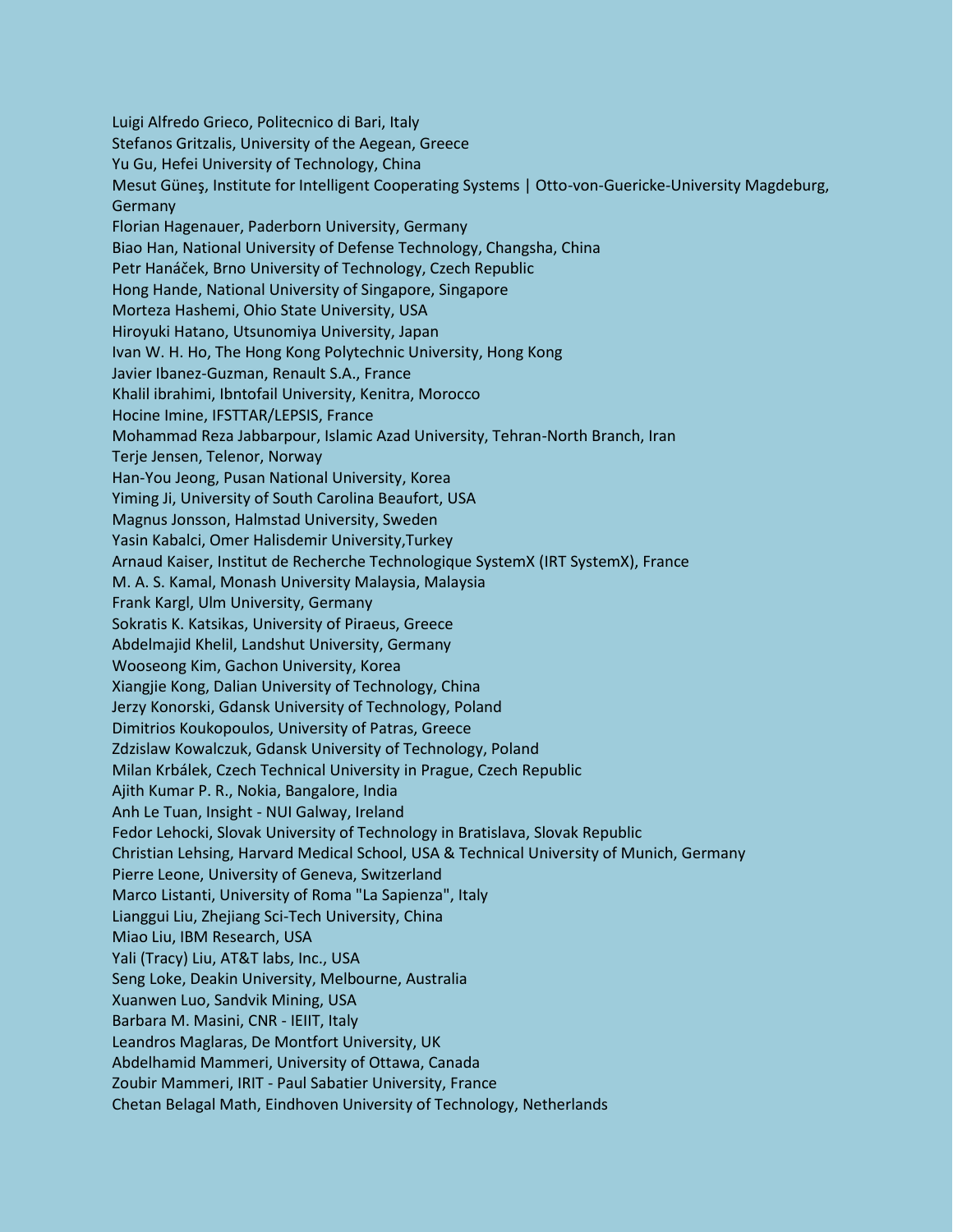Luigi Alfredo Grieco, Politecnico di Bari, Italy Stefanos Gritzalis, University of the Aegean, Greece Yu Gu, Hefei University of Technology, China Mesut Güneş, Institute for Intelligent Cooperating Systems | Otto-von-Guericke-University Magdeburg, Germany Florian Hagenauer, Paderborn University, Germany Biao Han, National University of Defense Technology, Changsha, China Petr Hanáček, Brno University of Technology, Czech Republic Hong Hande, National University of Singapore, Singapore Morteza Hashemi, Ohio State University, USA Hiroyuki Hatano, Utsunomiya University, Japan Ivan W. H. Ho, The Hong Kong Polytechnic University, Hong Kong Javier Ibanez-Guzman, Renault S.A., France Khalil ibrahimi, Ibntofail University, Kenitra, Morocco Hocine Imine, IFSTTAR/LEPSIS, France Mohammad Reza Jabbarpour, Islamic Azad University, Tehran-North Branch, Iran Terje Jensen, Telenor, Norway Han-You Jeong, Pusan National University, Korea Yiming Ji, University of South Carolina Beaufort, USA Magnus Jonsson, Halmstad University, Sweden Yasin Kabalci, Omer Halisdemir University,Turkey Arnaud Kaiser, Institut de Recherche Technologique SystemX (IRT SystemX), France M. A. S. Kamal, Monash University Malaysia, Malaysia Frank Kargl, Ulm University, Germany Sokratis K. Katsikas, University of Piraeus, Greece Abdelmajid Khelil, Landshut University, Germany Wooseong Kim, Gachon University, Korea Xiangjie Kong, Dalian University of Technology, China Jerzy Konorski, Gdansk University of Technology, Poland Dimitrios Koukopoulos, University of Patras, Greece Zdzislaw Kowalczuk, Gdansk University of Technology, Poland Milan Krbálek, Czech Technical University in Prague, Czech Republic Ajith Kumar P. R., Nokia, Bangalore, India Anh Le Tuan, Insight - NUI Galway, Ireland Fedor Lehocki, Slovak University of Technology in Bratislava, Slovak Republic Christian Lehsing, Harvard Medical School, USA & Technical University of Munich, Germany Pierre Leone, University of Geneva, Switzerland Marco Listanti, University of Roma "La Sapienza", Italy Lianggui Liu, Zhejiang Sci-Tech University, China Miao Liu, IBM Research, USA Yali (Tracy) Liu, AT&T labs, Inc., USA Seng Loke, Deakin University, Melbourne, Australia Xuanwen Luo, Sandvik Mining, USA Barbara M. Masini, CNR - IEIIT, Italy Leandros Maglaras, De Montfort University, UK Abdelhamid Mammeri, University of Ottawa, Canada Zoubir Mammeri, IRIT - Paul Sabatier University, France Chetan Belagal Math, Eindhoven University of Technology, Netherlands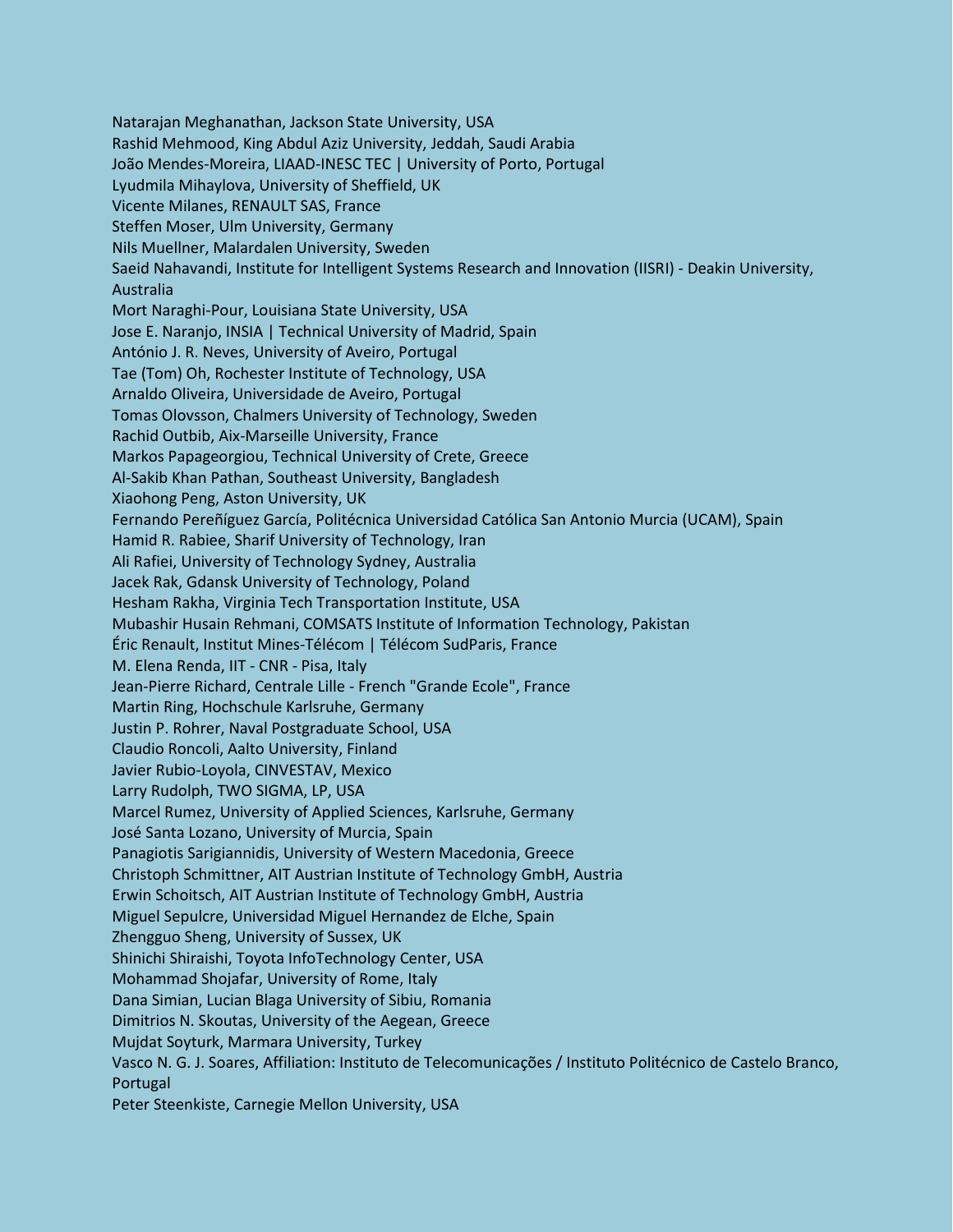Natarajan Meghanathan, Jackson State University, USA Rashid Mehmood, King Abdul Aziz University, Jeddah, Saudi Arabia João Mendes-Moreira, LIAAD-INESC TEC | University of Porto, Portugal Lyudmila Mihaylova, University of Sheffield, UK Vicente Milanes, RENAULT SAS, France Steffen Moser, Ulm University, Germany Nils Muellner, Malardalen University, Sweden Saeid Nahavandi, Institute for Intelligent Systems Research and Innovation (IISRI) - Deakin University, Australia Mort Naraghi-Pour, Louisiana State University, USA Jose E. Naranjo, INSIA | Technical University of Madrid, Spain António J. R. Neves, University of Aveiro, Portugal Tae (Tom) Oh, Rochester Institute of Technology, USA Arnaldo Oliveira, Universidade de Aveiro, Portugal Tomas Olovsson, Chalmers University of Technology, Sweden Rachid Outbib, Aix-Marseille University, France Markos Papageorgiou, Technical University of Crete, Greece Al-Sakib Khan Pathan, Southeast University, Bangladesh Xiaohong Peng, Aston University, UK Fernando Pereñíguez García, Politécnica Universidad Católica San Antonio Murcia (UCAM), Spain Hamid R. Rabiee, Sharif University of Technology, Iran Ali Rafiei, University of Technology Sydney, Australia Jacek Rak, Gdansk University of Technology, Poland Hesham Rakha, Virginia Tech Transportation Institute, USA Mubashir Husain Rehmani, COMSATS Institute of Information Technology, Pakistan Éric Renault, Institut Mines-Télécom | Télécom SudParis, France M. Elena Renda, IIT - CNR - Pisa, Italy Jean-Pierre Richard, Centrale Lille - French "Grande Ecole", France Martin Ring, Hochschule Karlsruhe, Germany Justin P. Rohrer, Naval Postgraduate School, USA Claudio Roncoli, Aalto University, Finland Javier Rubio-Loyola, CINVESTAV, Mexico Larry Rudolph, TWO SIGMA, LP, USA Marcel Rumez, University of Applied Sciences, Karlsruhe, Germany José Santa Lozano, University of Murcia, Spain Panagiotis Sarigiannidis, University of Western Macedonia, Greece Christoph Schmittner, AIT Austrian Institute of Technology GmbH, Austria Erwin Schoitsch, AIT Austrian Institute of Technology GmbH, Austria Miguel Sepulcre, Universidad Miguel Hernandez de Elche, Spain Zhengguo Sheng, University of Sussex, UK Shinichi Shiraishi, Toyota InfoTechnology Center, USA Mohammad Shojafar, University of Rome, Italy Dana Simian, Lucian Blaga University of Sibiu, Romania Dimitrios N. Skoutas, University of the Aegean, Greece Mujdat Soyturk, Marmara University, Turkey Vasco N. G. J. Soares, Affiliation: Instituto de Telecomunicações / Instituto Politécnico de Castelo Branco, Portugal

Peter Steenkiste, Carnegie Mellon University, USA